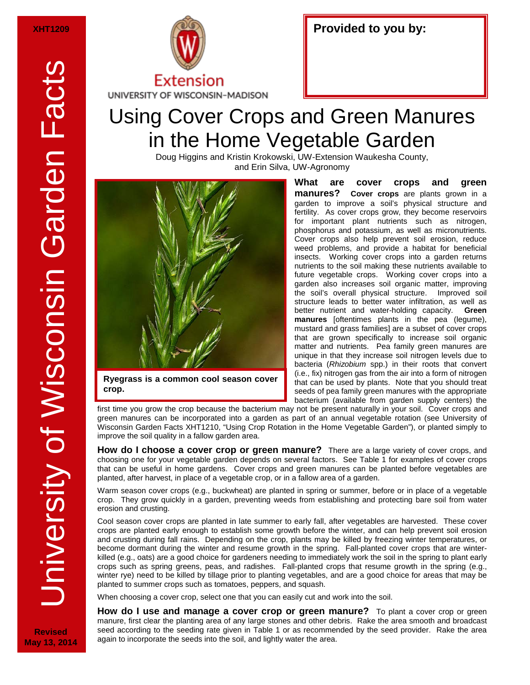**Revised May 13, 2014**



## Using Cover Crops and Green Manures in the Home Vegetable Garden

Doug Higgins and Kristin Krokowski, UW-Extension Waukesha County, and Erin Silva, UW-Agronomy



**Ryegrass is a common cool season cover crop.**

**What are cover crops and green manures? Cover crops** are plants grown in a garden to improve a soil's physical structure and fertility. As cover crops grow, they become reservoirs for important plant nutrients such as nitrogen, phosphorus and potassium, as well as micronutrients. Cover crops also help prevent soil erosion, reduce weed problems, and provide a habitat for beneficial insects. Working cover crops into a garden returns nutrients to the soil making these nutrients available to future vegetable crops. Working cover crops into a garden also increases soil organic matter, improving the soil's overall physical structure. Improved soil structure leads to better water infiltration, as well as better nutrient and water-holding capacity. **Green manures** [oftentimes plants in the pea (legume), mustard and grass families] are a subset of cover crops that are grown specifically to increase soil organic matter and nutrients. Pea family green manures are unique in that they increase soil nitrogen levels due to bacteria (*Rhizobium* spp.) in their roots that convert (i.e., fix) nitrogen gas from the air into a form of nitrogen that can be used by plants. Note that you should treat seeds of pea family green manures with the appropriate bacterium (available from garden supply centers) the

first time you grow the crop because the bacterium may not be present naturally in your soil. Cover crops and green manures can be incorporated into a garden as part of an annual vegetable rotation (see University of Wisconsin Garden Facts XHT1210, "Using Crop Rotation in the Home Vegetable Garden"), or planted simply to improve the soil quality in a fallow garden area.

**How do I choose a cover crop or green manure?** There are a large variety of cover crops, and choosing one for your vegetable garden depends on several factors. See Table 1 for examples of cover crops that can be useful in home gardens. Cover crops and green manures can be planted before vegetables are planted, after harvest, in place of a vegetable crop, or in a fallow area of a garden.

Warm season cover crops (e.g., buckwheat) are planted in spring or summer, before or in place of a vegetable crop. They grow quickly in a garden, preventing weeds from establishing and protecting bare soil from water erosion and crusting.

Cool season cover crops are planted in late summer to early fall, after vegetables are harvested. These cover crops are planted early enough to establish some growth before the winter, and can help prevent soil erosion and crusting during fall rains. Depending on the crop, plants may be killed by freezing winter temperatures, or become dormant during the winter and resume growth in the spring. Fall-planted cover crops that are winterkilled (e.g., oats) are a good choice for gardeners needing to immediately work the soil in the spring to plant early crops such as spring greens, peas, and radishes. Fall-planted crops that resume growth in the spring (e.g., winter rye) need to be killed by tillage prior to planting vegetables, and are a good choice for areas that may be planted to summer crops such as tomatoes, peppers, and squash.

When choosing a cover crop, select one that you can easily cut and work into the soil.

**How do I use and manage a cover crop or green manure?** To plant a cover crop or green manure, first clear the planting area of any large stones and other debris. Rake the area smooth and broadcast seed according to the seeding rate given in Table 1 or as recommended by the seed provider. Rake the area again to incorporate the seeds into the soil, and lightly water the area.